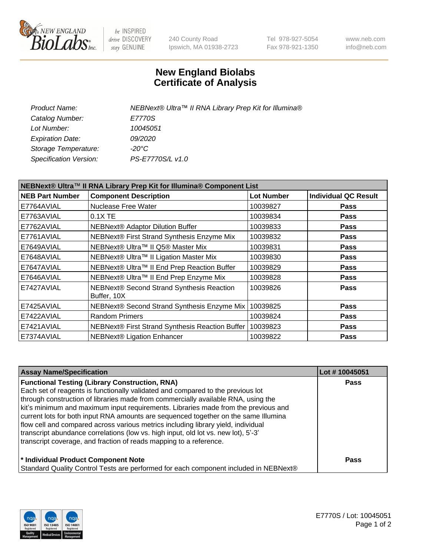

be INSPIRED drive DISCOVERY stay GENUINE

240 County Road Ipswich, MA 01938-2723 Tel 978-927-5054 Fax 978-921-1350 www.neb.com info@neb.com

## **New England Biolabs Certificate of Analysis**

| Product Name:           | NEBNext® Ultra™ II RNA Library Prep Kit for Illumina® |
|-------------------------|-------------------------------------------------------|
| Catalog Number:         | E7770S                                                |
| Lot Number:             | 10045051                                              |
| <b>Expiration Date:</b> | <i>09/2020</i>                                        |
| Storage Temperature:    | -20°C                                                 |
| Specification Version:  | PS-E7770S/L v1.0                                      |
|                         |                                                       |

| NEBNext® Ultra™ II RNA Library Prep Kit for Illumina® Component List |                                                            |                   |                             |  |  |
|----------------------------------------------------------------------|------------------------------------------------------------|-------------------|-----------------------------|--|--|
| <b>NEB Part Number</b>                                               | <b>Component Description</b>                               | <b>Lot Number</b> | <b>Individual QC Result</b> |  |  |
| E7764AVIAL                                                           | <b>Nuclease Free Water</b>                                 | 10039827          | <b>Pass</b>                 |  |  |
| E7763AVIAL                                                           | $0.1X$ TE                                                  | 10039834          | <b>Pass</b>                 |  |  |
| E7762AVIAL                                                           | <b>NEBNext® Adaptor Dilution Buffer</b>                    | 10039833          | <b>Pass</b>                 |  |  |
| E7761AVIAL                                                           | NEBNext® First Strand Synthesis Enzyme Mix                 | 10039832          | <b>Pass</b>                 |  |  |
| E7649AVIAL                                                           | NEBNext® Ultra™ II Q5® Master Mix                          | 10039831          | <b>Pass</b>                 |  |  |
| E7648AVIAL                                                           | NEBNext® Ultra™ II Ligation Master Mix                     | 10039830          | <b>Pass</b>                 |  |  |
| E7647AVIAL                                                           | NEBNext® Ultra™ II End Prep Reaction Buffer                | 10039829          | <b>Pass</b>                 |  |  |
| E7646AVIAL                                                           | NEBNext® Ultra™ II End Prep Enzyme Mix                     | 10039828          | <b>Pass</b>                 |  |  |
| E7427AVIAL                                                           | NEBNext® Second Strand Synthesis Reaction<br>Buffer, 10X   | 10039826          | <b>Pass</b>                 |  |  |
| E7425AVIAL                                                           | NEBNext® Second Strand Synthesis Enzyme Mix                | 10039825          | <b>Pass</b>                 |  |  |
| E7422AVIAL                                                           | <b>Random Primers</b>                                      | 10039824          | <b>Pass</b>                 |  |  |
| E7421AVIAL                                                           | NEBNext® First Strand Synthesis Reaction Buffer   10039823 |                   | <b>Pass</b>                 |  |  |
| E7374AVIAL                                                           | <b>NEBNext® Ligation Enhancer</b>                          | 10039822          | <b>Pass</b>                 |  |  |

| <b>Assay Name/Specification</b>                                                      | Lot #10045051 |
|--------------------------------------------------------------------------------------|---------------|
| <b>Functional Testing (Library Construction, RNA)</b>                                | <b>Pass</b>   |
| Each set of reagents is functionally validated and compared to the previous lot      |               |
| through construction of libraries made from commercially available RNA, using the    |               |
| kit's minimum and maximum input requirements. Libraries made from the previous and   |               |
| current lots for both input RNA amounts are sequenced together on the same Illumina  |               |
| flow cell and compared across various metrics including library yield, individual    |               |
| transcript abundance correlations (low vs. high input, old lot vs. new lot), 5'-3'   |               |
| transcript coverage, and fraction of reads mapping to a reference.                   |               |
| * Individual Product Component Note                                                  | Pass          |
| Standard Quality Control Tests are performed for each component included in NEBNext® |               |